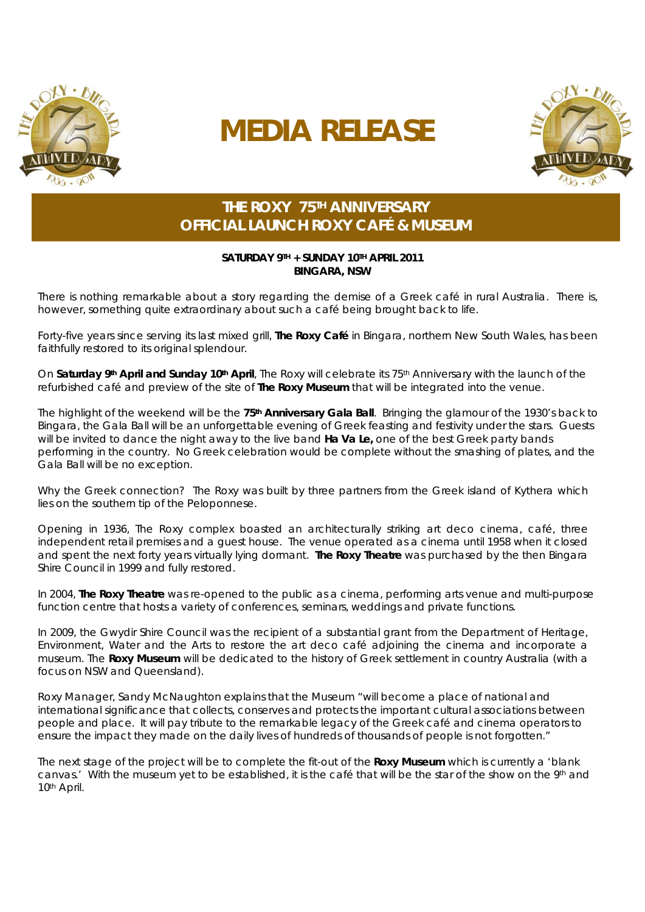

# **MEDIA RELEASE**



## **THE ROXY 75TH ANNIVERSARY OFFICIAL LAUNCH ROXY CAFÉ & MUSEUM**

#### **SATURDAY 9TH + SUNDAY 10TH APRIL 2011 BINGARA, NSW**

There is nothing remarkable about a story regarding the demise of a Greek café in rural Australia. There is, however, something quite extraordinary about such a café being brought back to life.

Forty-five years since serving its last mixed grill, *The Roxy Café* in Bingara, northern New South Wales, has been faithfully restored to its original splendour.

On **Saturday 9th April and Sunday 10th April**, The Roxy will celebrate its 75th Anniversary with the launch of the refurbished café and preview of the site of *The Roxy Museum* that will be integrated into the venue.

The highlight of the weekend will be the **75th Anniversary Gala Ball**. Bringing the glamour of the 1930's back to Bingara, the Gala Ball will be an unforgettable evening of Greek feasting and festivity under the stars. Guests will be invited to dance the night away to the live band **Ha Va Le,** one of the best Greek party bands performing in the country. No Greek celebration would be complete without the smashing of plates, and the Gala Ball will be no exception.

Why the Greek connection? The Roxy was built by three partners from the Greek island of Kythera which lies on the southern tip of the Peloponnese.

Opening in 1936, The Roxy complex boasted an architecturally striking art deco cinema, café, three independent retail premises and a guest house. The venue operated as a cinema until 1958 when it closed and spent the next forty years virtually lying dormant. *The Roxy Theatre* was purchased by the then Bingara Shire Council in 1999 and fully restored.

In 2004, *The Roxy Theatre* was re-opened to the public as a cinema, performing arts venue and multi-purpose function centre that hosts a variety of conferences, seminars, weddings and private functions.

In 2009, the Gwydir Shire Council was the recipient of a substantial grant from the Department of Heritage, Environment, Water and the Arts to restore the art deco café adjoining the cinema and incorporate a museum. The *Roxy Museum* will be dedicated to the history of Greek settlement in country Australia (with a focus on NSW and Queensland).

Roxy Manager, Sandy McNaughton explains that the Museum "will become a place of national and international significance that collects, conserves and protects the important cultural associations between people and place. It will pay tribute to the remarkable legacy of the Greek café and cinema operators to ensure the impact they made on the daily lives of hundreds of thousands of people is not forgotten."

The next stage of the project will be to complete the fit-out of the *Roxy Museum* which is currently a 'blank canvas.' With the museum yet to be established, it is the café that will be the star of the show on the 9th and 10th April.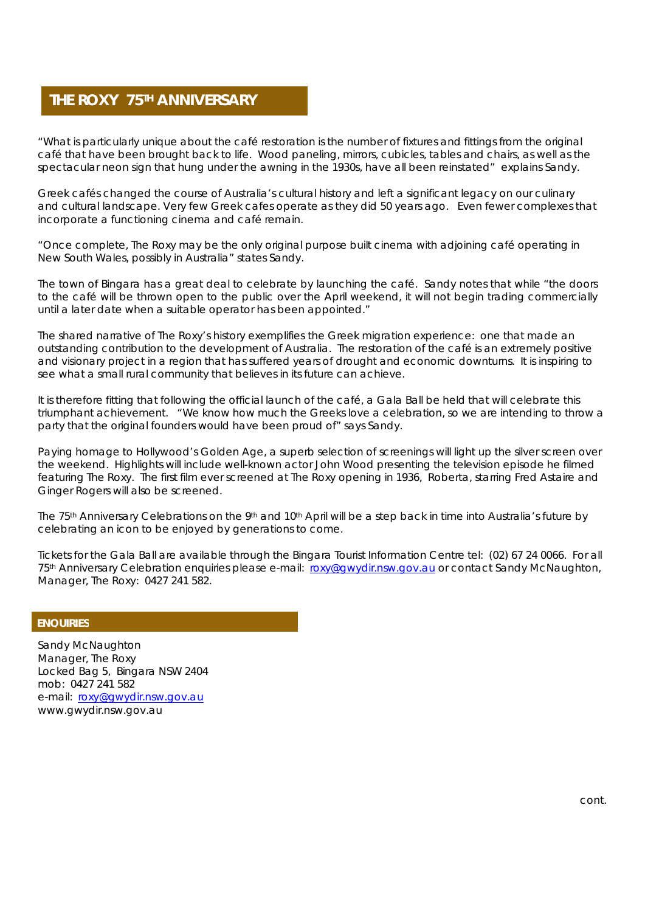### **THE ROXY 75TH ANNIVERSARY**

"What is particularly unique about the café restoration is the number of fixtures and fittings from the original café that have been brought back to life. Wood paneling, mirrors, cubicles, tables and chairs, as well as the spectacular neon sign that hung under the awning in the 1930s, have all been reinstated" explains Sandy.

Greek cafés changed the course of Australia's cultural history and left a significant legacy on our culinary and cultural landscape. Very few Greek cafes operate as they did 50 years ago. Even fewer complexes that incorporate a functioning cinema and café remain.

"Once complete, The Roxy may be the only original purpose built cinema with adjoining café operating in New South Wales, possibly in Australia" states Sandy.

The town of Bingara has a great deal to celebrate by launching the café. Sandy notes that while "the doors to the café will be thrown open to the public over the April weekend, it will not begin trading commercially until a later date when a suitable operator has been appointed."

The shared narrative of The Roxy's history exemplifies the Greek migration experience: one that made an outstanding contribution to the development of Australia. The restoration of the café is an extremely positive and visionary project in a region that has suffered years of drought and economic downturns. It is inspiring to see what a small rural community that believes in its future can achieve.

It is therefore fitting that following the official launch of the café, a Gala Ball be held that will celebrate this triumphant achievement. "We know how much the Greeks love a celebration, so we are intending to throw a party that the original founders would have been proud of" says Sandy.

Paying homage to Hollywood's Golden Age, a superb selection of screenings will light up the silver screen over the weekend. Highlights will include well-known actor John Wood presenting the television episode he filmed featuring The Roxy. The first film ever screened at The Roxy opening in 1936, *Roberta*, starring Fred Astaire and Ginger Rogers will also be screened.

The 75<sup>th</sup> Anniversary Celebrations on the 9<sup>th</sup> and 10<sup>th</sup> April will be a step back in time into Australia's future by celebrating an icon to be enjoyed by generations to come.

Tickets for the Gala Ball are available through the Bingara Tourist Information Centre tel: (02) 67 24 0066. For all 75<sup>th</sup> Anniversary Celebration enquiries please e-mail: roxy@gwydir.nsw.gov.au or contact Sandy McNaughton, Manager, The Roxy: 0427 241 582.

#### **ENQUIRIES**

Sandy McNaughton Manager, The Roxy Locked Bag 5, Bingara NSW 2404 mob: 0427 241 582 e-mail: roxy@gwydir.nsw.gov.au www.gwydir.nsw.gov.au